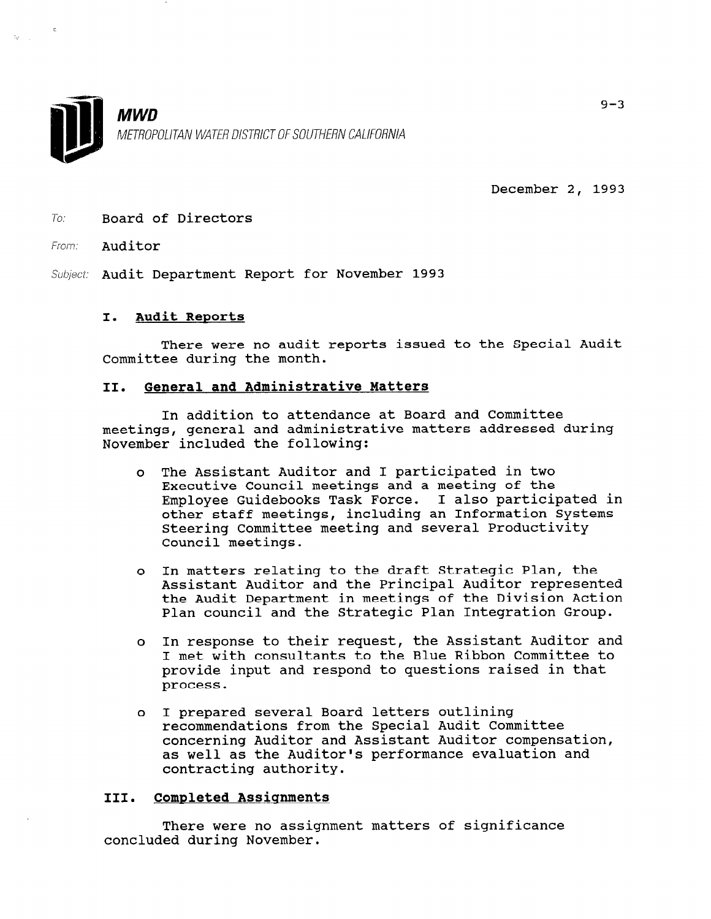

December 2, 1993

To: Board of Directors

From: Auditor

Subject: Audit Department Report for November 1993

#### I. Audit Reports

There were no audit reports issued to the Special Audit Committee during the month.

### II. General and Administrative Matters

In addition to attendance at Board and Committee meetings, general and administrative matters addressed during November included the following:

- <sup>0</sup>The Assistant Auditor and I participated in two Executive Council meetings and a meeting of the Executive council meetings and a meeting of the<br>Employee Cuidebooks Task Force. I also participated in other staff meetings, including an Information Systems Steering Committee meeting and several Productivity Council meetings.
- <sup>0</sup>In matters relating to the draft Strategic Plan, the Assistant Auditor and the Principal Auditor represented the Audit Department in meetings of the Division Action Plan council and the Strategic Plan Integration Group.
- <sup>0</sup>In response to their request, the Assistant Auditor and I met with consultants to the Blue Ribbon Committee to provide input and respond to questions raised in that process.
- <sup>0</sup>I prepared several Board letters outlining recommendations from the Special Audit Committee concerning Auditor and Assistant Auditor compensation, concerning Auditor and Assistant Auditor Compensation<br>es well as the Auditoria performance evaluation and as well as the Auul

# III. Completed Assicrnments

There were no assignment matters of significance concluded during November.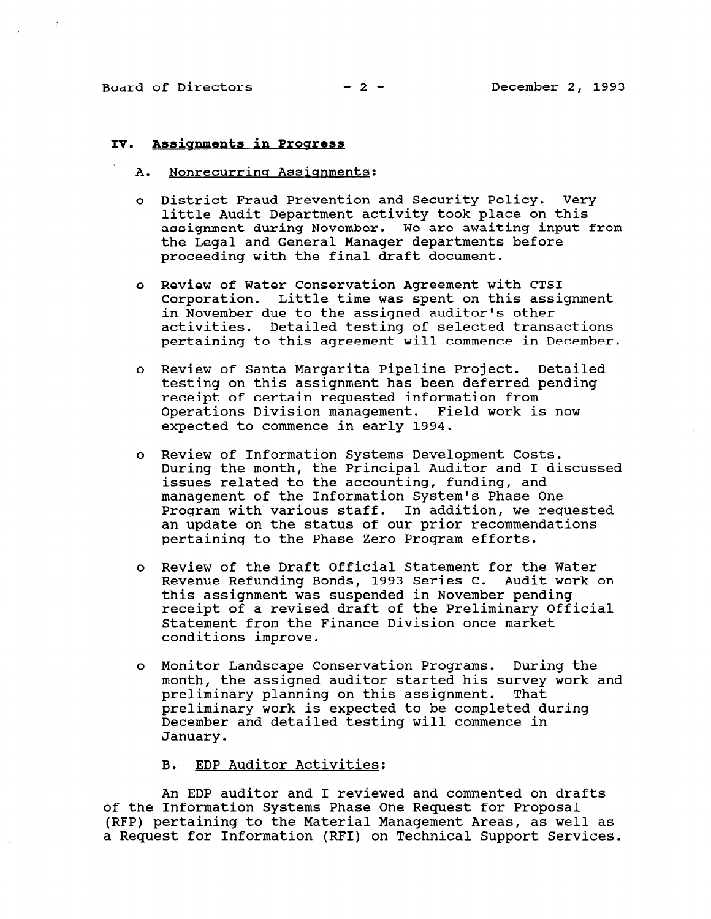#### IV. Assicmments in Proqress

- A. Nonrecurring Assignments:
- <sup>0</sup>District Fraud Prevention and Security Policy. Very little Audit Department activity took place on this assignment during November. We are awaiting input from the Legal and General Manager departments before proceeding with the final draft document.
- <sup>0</sup>Review of Water Conservation Agreement with CTSI Corporation. Little time was spent on this assignment in November due to the assigned auditor's other activities. Detailed testing of selected transactions pertaining to this agreement will commence in December.
- <sup>0</sup>Review of Santa Margarita Pipeline Project. Detailed testing on this assignment has been deferred pending receipt of certain requested information from Operations Division management. Field work is now expected to commence in early 1994.
- <sup>0</sup>Review of Information Systems Development Costs. During the month, the Principal Auditor and I discussed issues related to the accounting, funding, and management of the Information System's Phase One Program with various staff. In addition, we requested an update on the status of our prior recommendations pertaining to the Phase Zero Program efforts.
- <sup>0</sup>Review of the Draft Official Statement for the Water Revenue Refunding Bonds, 1993 Series C. Audit work on this assignment was suspended in November pending receipt of a revised draft of the Preliminary Official Statement from the Finance Division once market conditions improve.
- <sup>0</sup>Monitor Landscape Conservation Programs. During the month, the assigned auditor started his survey work and month, the assigned additor started his survey preliminary planning on this assignment. That preliminary work is expected to be completed during December and detailed testing will commence in January.

B. EDP Auditor Activities:

 $\mathbf{A}$ An EDP auditor and I reviewed and commented on di of the Information Systems Phase One Request for Proposal (RFP) pertaining to the Material Management Areas, as well as<br>a Request for Information (RFI) on Technical Support Services.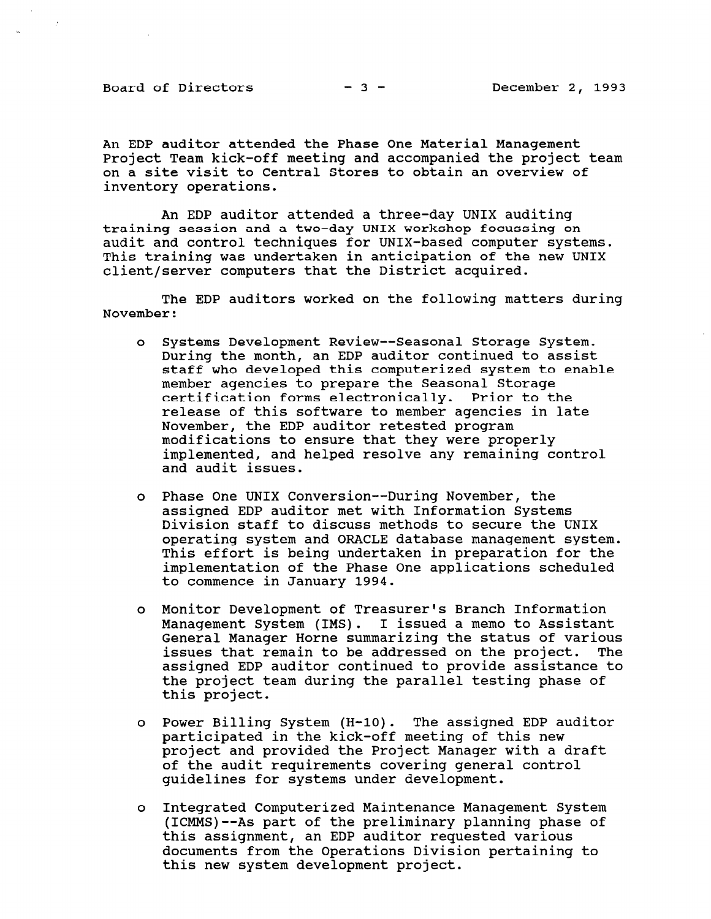Board of Directors  $-3$  - December 2, 1993

An EDP auditor attended the Phase One Material Management Project Team kick-off meeting and accompanied the project team on a site visit to Central Stores to obtain an overview of inventory operations.

An EDP auditor attended a three-day UNIX auditing training session and a two-day UNIX workshop focussing on audit and control techniques for UNIX-based computer systems. This training was undertaken in anticipation of the new UNIX client/server computers that the District acquired.

The EDP auditors worked on the following matters during November:

- <sup>0</sup>Systems Development Review-- Seasonal Storage System. During the month, an EDP auditor continued to assist staff who developed this computerized system to enable member agencies to prepare the Seasonal Storage certification forms electronically. Prior to the release of this software to member agencies in late November, the EDP auditor retested program modifications to ensure that they were properly implemented, and helped resolve any remaining control and audit issues.
- <sup>0</sup>Phase One UNIX Conversion--During November, the assigned EDP auditor met with Information Systems Division staff to discuss methods to secure the UNIX operating system and ORACLE database management system. This effort is being undertaken in preparation for the implementation of the Phase One applications scheduled to commence in January 1994.
- <sup>0</sup>Monitor Development of Treasurer's Branch Information Management System (IMS). I issued a memo to Assistant nanagement bystem (Ind). I Issued a memo to Assistant<br>Conoral Manager Horne summarizing the status of variou issues that remain to be addressed on the project. The issues that remain to be addressed on the project. The assigned EDP auditor continued to provide assistance to abbighed bur additul continued to provide abbibtance the project
- o Power Billing System (H-10). The assigned EDP auditor power billing system (n-10). The assigned EDP a participated in the KICK-OII meeting of this new project and provided the Project Manager with a draft of the audit requirements covering general control quidelines for systems under development.
- <sup>0</sup>Integrated Computerized Maintenance Management System Integrated computerized maintenance management system (ICMMS)--As part of the preliminary planning phase of this assignment, an EDP auditor requested various documents from the Operations Division pertaining to this new system development project.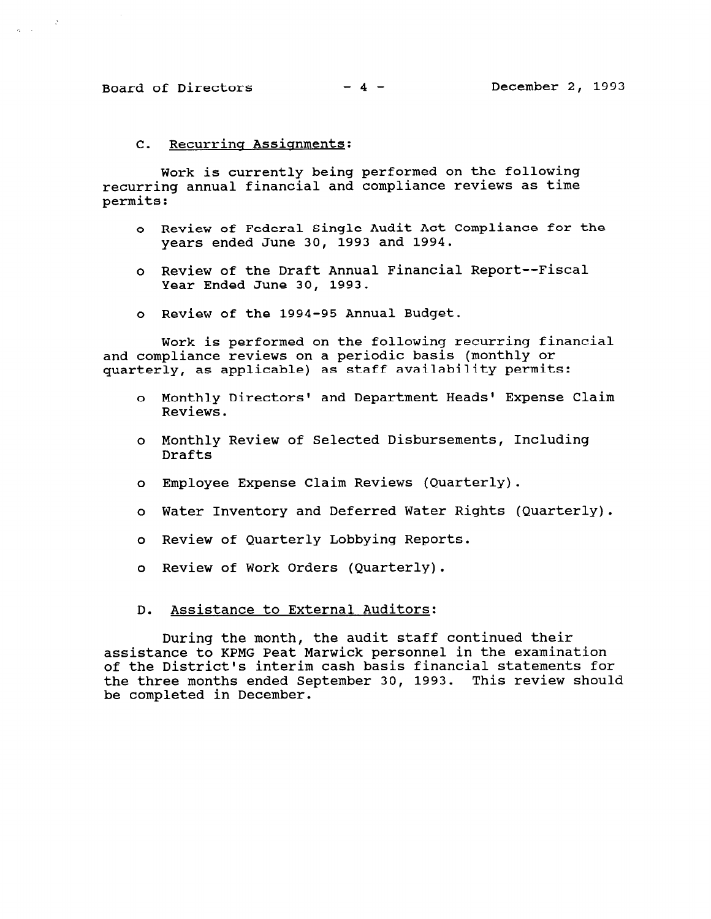$\sim 2$ 

 $\frac{1}{2}$  ,  $\frac{1}{2}$  ,  $\frac{1}{2}$ 

# C. Recurrinq Assignments:

Work is currently being performed on the following recurring annual financial and compliance reviews as time permits:

- <sup>0</sup>Review of Federal Single Audit Act Compliance for the years ended June 30, 1993 and 1994.
- <sup>0</sup>Review of the Draft Annual Financial Report--Fiscal Year Ended June 30, 1993.
- <sup>0</sup>Review of the 1994-95 Annual Budget.

Work is performed on the following recurring financial and compliance reviews on a periodic basis (monthly or quarterly, as applicable) as staff availability permits:

- <sup>0</sup>Monthly Directors' and Department Heads' Expense Claim Reviews.
- <sup>0</sup>Monthly Review of Selected Disbursements, Including Drafts
- <sup>0</sup>Employee Expense Claim Reviews (Quarterly).
- o Water Inventory and Deferred Water Rights (Quarterly).
- <sup>0</sup>Review of Quarterly Lobbying Reports.
- o Review of Work Orders (Quarterly).
- D. Assistance to External Auditors:

During the month, the audit staff continued their assistance to KPMG Peat Marwick personnel in the examination of the District's interim cash basis financial statements for the three months ended September 30, 1993. This review should be completed in December.